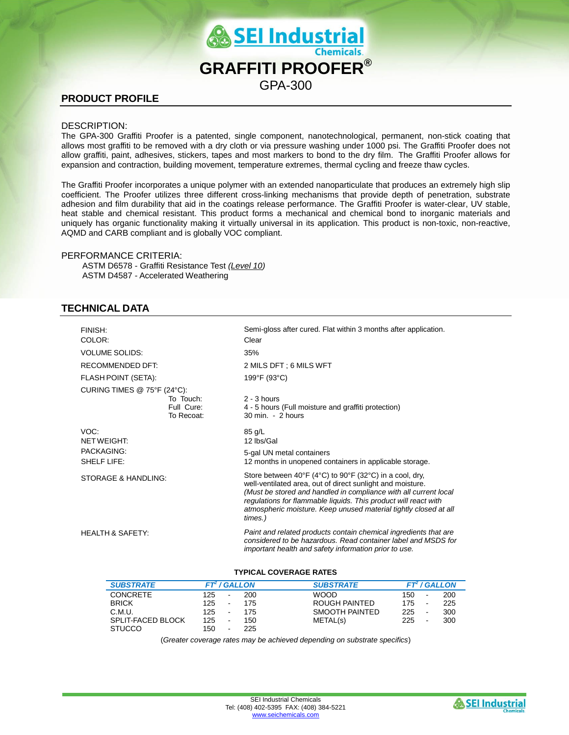

# **PRODUCT PROFILE**

## DESCRIPTION:

The GPA-300 Graffiti Proofer is a patented, single component, nanotechnological, permanent, non-stick coating that allows most graffiti to be removed with a dry cloth or via pressure washing under 1000 psi. The Graffiti Proofer does not allow graffiti, paint, adhesives, stickers, tapes and most markers to bond to the dry film. The Graffiti Proofer allows for expansion and contraction, building movement, temperature extremes, thermal cycling and freeze thaw cycles.

The Graffiti Proofer incorporates a unique polymer with an extended nanoparticulate that produces an extremely high slip coefficient. The Proofer utilizes three different cross-linking mechanisms that provide depth of penetration, substrate adhesion and film durability that aid in the coatings release performance. The Graffiti Proofer is water-clear, UV stable, heat stable and chemical resistant. This product forms a mechanical and chemical bond to inorganic materials and uniquely has organic functionality making it virtually universal in its application. This product is non-toxic, non-reactive, AQMD and CARB compliant and is globally VOC compliant.

## PERFORMANCE CRITERIA:

ASTM D6578 - Graffiti Resistance Test *(Level 10)* ASTM D4587 - Accelerated Weathering

# **TECHNICAL DATA**

| <b>FINISH:</b><br>COLOR:      |                                       | Semi-gloss after cured. Flat within 3 months after application.<br>Clear                                                                                                                                                                                                                                                                    |  |  |  |  |  |
|-------------------------------|---------------------------------------|---------------------------------------------------------------------------------------------------------------------------------------------------------------------------------------------------------------------------------------------------------------------------------------------------------------------------------------------|--|--|--|--|--|
| <b>VOLUME SOLIDS:</b>         |                                       | 35%                                                                                                                                                                                                                                                                                                                                         |  |  |  |  |  |
| RECOMMENDED DET:              |                                       | 2 MILS DFT : 6 MILS WFT                                                                                                                                                                                                                                                                                                                     |  |  |  |  |  |
| FLASH POINT (SETA):           |                                       | 199°F (93°C)                                                                                                                                                                                                                                                                                                                                |  |  |  |  |  |
| CURING TIMES $@$ 75°F (24°C): |                                       |                                                                                                                                                                                                                                                                                                                                             |  |  |  |  |  |
|                               | To Touch:<br>Full Cure:<br>To Recoat: | $2 - 3$ hours<br>4 - 5 hours (Full moisture and graffiti protection)<br>$30 \text{ min} - 2 \text{ hours}$                                                                                                                                                                                                                                  |  |  |  |  |  |
| VOC:<br><b>NETWEIGHT:</b>     |                                       | $85$ g/L<br>12 lbs/Gal                                                                                                                                                                                                                                                                                                                      |  |  |  |  |  |
| PACKAGING:<br>SHELF LIFE:     |                                       | 5-gal UN metal containers<br>12 months in unopened containers in applicable storage.                                                                                                                                                                                                                                                        |  |  |  |  |  |
| STORAGE & HANDLING:           |                                       | Store between 40°F (4°C) to 90°F (32°C) in a cool, dry,<br>well-ventilated area, out of direct sunlight and moisture.<br>(Must be stored and handled in compliance with all current local<br>regulations for flammable liquids. This product will react with<br>atmospheric moisture. Keep unused material tightly closed at all<br>times.) |  |  |  |  |  |
| <b>HEALTH &amp; SAFETY:</b>   |                                       | Paint and related products contain chemical ingredients that are<br>considered to be hazardous. Read container label and MSDS for<br>important health and safety information prior to use.                                                                                                                                                  |  |  |  |  |  |

#### **TYPICAL COVERAGE RATES**

| <b>SUBSTRATE</b>         |     |        | <b>FT / GALLON</b> | <b>SUBSTRATE</b> |     |   | $FT2$ / GALLON |
|--------------------------|-----|--------|--------------------|------------------|-----|---|----------------|
| <b>CONCRETE</b>          | 125 | $\sim$ | 200                | WOOD.            | 150 |   | 200            |
| <b>BRICK</b>             | 125 | $\sim$ | 175                | ROUGH PAINTED    | 175 | ۰ | 225            |
| C.M.U.                   | 125 | $\sim$ | 175                | SMOOTH PAINTED   | 225 | ۰ | 300            |
| <b>SPLIT-FACED BLOCK</b> | 125 | $\sim$ | 150                | METAL(s)         | 225 | ۰ | 300            |
| <b>STUCCO</b>            | 150 | $\sim$ | 225                |                  |     |   |                |

(*Greater coverage rates may be achieved depending on substrate specifics*)

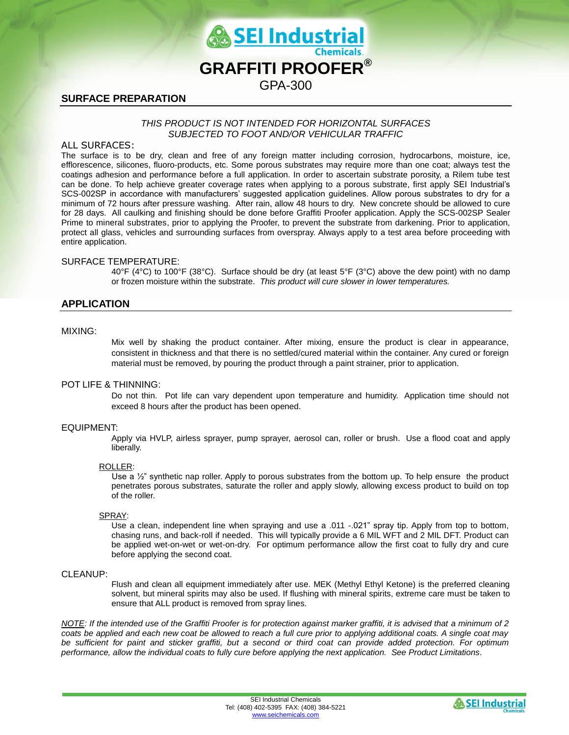

# **SURFACE PREPARATION**

### *THIS PRODUCT IS NOT INTENDED FOR HORIZONTAL SURFACES SUBJECTED TO FOOT AND/OR VEHICULAR TRAFFIC*

## ALL SURFACES:

The surface is to be dry, clean and free of any foreign matter including corrosion, hydrocarbons, moisture, ice, efflorescence, silicones, fluoro-products, etc. Some porous substrates may require more than one coat; always test the coatings adhesion and performance before a full application. In order to ascertain substrate porosity, a Rilem tube test can be done. To help achieve greater coverage rates when applying to a porous substrate, first apply SEI Industrial's SCS-002SP in accordance with manufacturers' suggested application guidelines. Allow porous substrates to dry for a minimum of 72 hours after pressure washing. After rain, allow 48 hours to dry. New concrete should be allowed to cure for 28 days. All caulking and finishing should be done before Graffiti Proofer application. Apply the SCS-002SP Sealer Prime to mineral substrates, prior to applying the Proofer, to prevent the substrate from darkening. Prior to application, protect all glass, vehicles and surrounding surfaces from overspray. Always apply to a test area before proceeding with entire application.

### SURFACE TEMPERATURE:

40°F (4°C) to 100°F (38°C). Surface should be dry (at least 5°F (3°C) above the dew point) with no damp or frozen moisture within the substrate. *This product will cure slower in lower temperatures.*

# **APPLICATION**

### MIXING:

Mix well by shaking the product container. After mixing, ensure the product is clear in appearance, consistent in thickness and that there is no settled/cured material within the container. Any cured or foreign material must be removed, by pouring the product through a paint strainer, prior to application.

## POT LIFE & THINNING:

Do not thin. Pot life can vary dependent upon temperature and humidity. Application time should not exceed 8 hours after the product has been opened.

### EQUIPMENT:

Apply via HVLP, airless sprayer, pump sprayer, aerosol can, roller or brush. Use a flood coat and apply liberally.

#### ROLLER:

Use a  $\frac{1}{2}$ " synthetic nap roller. Apply to porous substrates from the bottom up. To help ensure the product penetrates porous substrates, saturate the roller and apply slowly, allowing excess product to build on top of the roller.

#### SPRAY:

Use a clean, independent line when spraying and use a .011 -.021" spray tip. Apply from top to bottom, chasing runs, and back-roll if needed. This will typically provide a 6 MIL WFT and 2 MIL DFT. Product can be applied wet-on-wet or wet-on-dry. For optimum performance allow the first coat to fully dry and cure before applying the second coat.

#### CLEANUP:

Flush and clean all equipment immediately after use. MEK (Methyl Ethyl Ketone) is the preferred cleaning solvent, but mineral spirits may also be used. If flushing with mineral spirits, extreme care must be taken to ensure that ALL product is removed from spray lines.

*NOTE: If the intended use of the Graffiti Proofer is for protection against marker graffiti, it is advised that a minimum of 2*  coats be applied and each new coat be allowed to reach a full cure prior to applying additional coats. A single coat may *be sufficient for paint and sticker graffiti, but a second or third coat can provide added protection. For optimum performance, allow the individual coats to fully cure before applying the next application. See Product Limitations*.